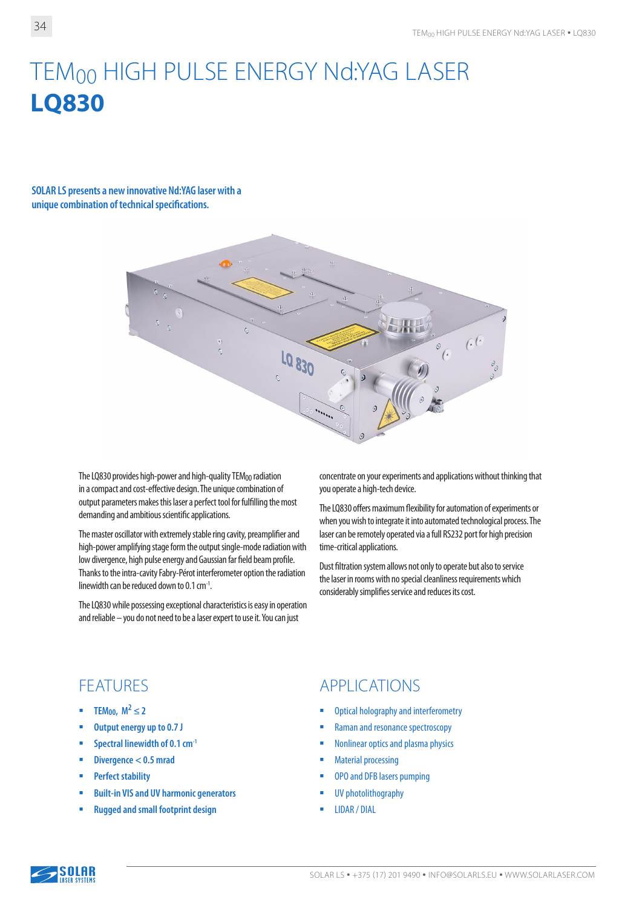# TEM<sub>00</sub> HIGH PULSE ENERGY Nd:YAG LASER **LQ830**

#### **SOLAR LS presents a new innovative Nd:YAG laser with a unique combination of technical specifications.**



The LQ830 provides high-power and high-quality TEM00 radiation in a compact and cost-effective design. The unique combination of output parameters makes this laser a perfect tool for fulfilling the most demanding and ambitious scientific applications.

The master oscillator with extremely stable ring cavity, preamplifier and high-power amplifying stage form the output single-mode radiation with low divergence, high pulse energy and Gaussian far field beam profile. Thanks to the intra-cavity Fabry-Pérot interferometer option the radiation linewidth can be reduced down to 0.1 cm-1.

The LQ830 while possessing exceptional characteristics is easy in operation and reliable – you do not need to be a laser expert to use it. You can just

concentrate on your experiments and applications without thinking that you operate a high-tech device.

The LQ830 offers maximum flexibility for automation of experiments or when you wish to integrate it into automated technological process. The laser can be remotely operated via a full RS232 port for high precision time-critical applications.

Dust filtration system allows not only to operate but also to service the laser in rooms with no special cleanliness requirements which considerably simplifies service and reduces its cost.

- **TEM**<sub>00</sub>,  $M^2 \le 2$
- **Output energy up to 0.7 J**
- **Spectral linewidth of 0.1 cm<sup>-1</sup>**
- **Divergence < 0.5 mrad**
- **Perfect stability**
- **Built-in VIS and UV harmonic generators**
- **Rugged and small footprint design**

#### FEATURES APPLICATIONS

- Optical holography and interferometry
- Raman and resonance spectroscopy
- **Nonlinear optics and plasma physics**
- Material processing
- OPO and DFB lasers pumping
- **UV** photolithography
- LIDAR / DIAL